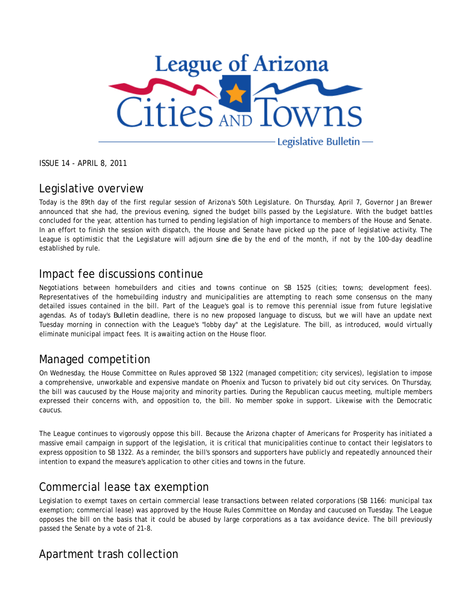

ISSUE 14 - APRIL 8, 2011

### Legislative overview

Today is the 89th day of the first regular session of Arizona's 50th Legislature. On Thursday, April 7, Governor Jan Brewer announced that she had, the previous evening, signed the budget bills passed by the Legislature. With the budget battles concluded for the year, attention has turned to pending legislation of high importance to members of the House and Senate. In an effort to finish the session with dispatch, the House and Senate have picked up the pace of legislative activity. The League is optimistic that the Legislature will adjourn *sine die* by the end of the month, if not by the 100-day deadline established by rule.

### Impact fee discussions continue

Negotiations between homebuilders and cities and towns continue on SB 1525 (cities; towns; development fees). Representatives of the homebuilding industry and municipalities are attempting to reach some consensus on the many detailed issues contained in the bill. Part of the League's goal is to remove this perennial issue from future legislative agendas. As of today's *Bulletin* deadline, there is no new proposed language to discuss, but we will have an update next Tuesday morning in connection with the League's "lobby day" at the Legislature. The bill, as introduced, would virtually eliminate municipal impact fees. It is awaiting action on the House floor.

# Managed competition

On Wednesday, the House Committee on Rules approved SB 1322 (managed competition; city services), legislation to impose a comprehensive, unworkable and expensive mandate on Phoenix and Tucson to privately bid out city services. On Thursday, the bill was caucused by the House majority and minority parties. During the Republican caucus meeting, multiple members expressed their concerns with, and opposition to, the bill. No member spoke in support. Likewise with the Democratic caucus.

The League continues to vigorously oppose this bill. Because the Arizona chapter of Americans for Prosperity has initiated a massive email campaign in support of the legislation, it is critical that municipalities continue to contact their legislators to express opposition to SB 1322. As a reminder, the bill's sponsors and supporters have publicly and repeatedly announced their intention to expand the measure's application to other cities and towns in the future.

## Commercial lease tax exemption

Legislation to exempt taxes on certain commercial lease transactions between related corporations (SB 1166: municipal tax exemption; commercial lease) was approved by the House Rules Committee on Monday and caucused on Tuesday. The League opposes the bill on the basis that it could be abused by large corporations as a tax avoidance device. The bill previously passed the Senate by a vote of 21-8.

# Apartment trash collection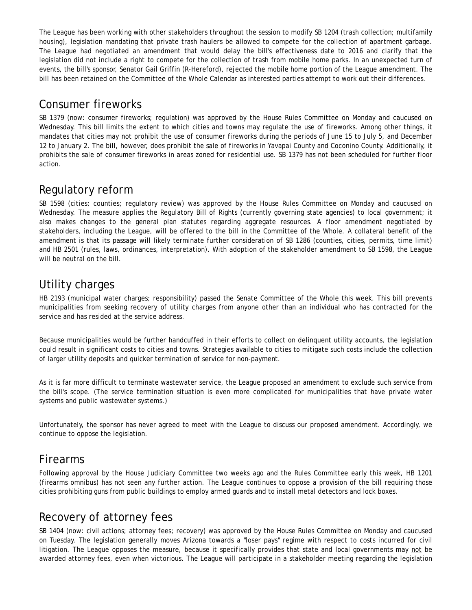The League has been working with other stakeholders throughout the session to modify SB 1204 (trash collection; multifamily housing), legislation mandating that private trash haulers be allowed to compete for the collection of apartment garbage. The League had negotiated an amendment that would delay the bill's effectiveness date to 2016 and clarify that the legislation did not include a right to compete for the collection of trash from mobile home parks. In an unexpected turn of events, the bill's sponsor, Senator Gail Griffin (R-Hereford), rejected the mobile home portion of the League amendment. The bill has been retained on the Committee of the Whole Calendar as interested parties attempt to work out their differences.

### Consumer fireworks

SB 1379 (now: consumer fireworks; regulation) was approved by the House Rules Committee on Monday and caucused on Wednesday. This bill limits the extent to which cities and towns may regulate the use of fireworks. Among other things, it mandates that cities may not prohibit the use of consumer fireworks during the periods of June 15 to July 5, and December 12 to January 2. The bill, however, does prohibit the sale of fireworks in Yavapai County and Coconino County. Additionally, it prohibits the sale of consumer fireworks in areas zoned for residential use. SB 1379 has not been scheduled for further floor action.

# Regulatory reform

SB 1598 (cities; counties; regulatory review) was approved by the House Rules Committee on Monday and caucused on Wednesday. The measure applies the Regulatory Bill of Rights (currently governing state agencies) to local government; it also makes changes to the general plan statutes regarding aggregate resources. A floor amendment negotiated by stakeholders, including the League, will be offered to the bill in the Committee of the Whole. A collateral benefit of the amendment is that its passage will likely terminate further consideration of SB 1286 (counties, cities, permits, time limit) and HB 2501 (rules, laws, ordinances, interpretation). With adoption of the stakeholder amendment to SB 1598, the League will be neutral on the bill.

# Utility charges

HB 2193 (municipal water charges; responsibility) passed the Senate Committee of the Whole this week. This bill prevents municipalities from seeking recovery of utility charges from anyone other than an individual who has contracted for the service and has resided at the service address.

Because municipalities would be further handcuffed in their efforts to collect on delinquent utility accounts, the legislation could result in significant costs to cities and towns. Strategies available to cities to mitigate such costs include the collection of larger utility deposits and quicker termination of service for non-payment.

As it is far more difficult to terminate wastewater service, the League proposed an amendment to exclude such service from the bill's scope. (The service termination situation is even more complicated for municipalities that have private water systems and public wastewater systems.)

Unfortunately, the sponsor has never agreed to meet with the League to discuss our proposed amendment. Accordingly, we continue to oppose the legislation.

#### Firearms

Following approval by the House Judiciary Committee two weeks ago and the Rules Committee early this week, HB 1201 (firearms omnibus) has not seen any further action. The League continues to oppose a provision of the bill requiring those cities prohibiting guns from public buildings to employ armed guards and to install metal detectors and lock boxes.

# Recovery of attorney fees

SB 1404 (now: civil actions; attorney fees; recovery) was approved by the House Rules Committee on Monday and caucused on Tuesday. The legislation generally moves Arizona towards a "loser pays" regime with respect to costs incurred for civil litigation. The League opposes the measure, because it specifically provides that state and local governments may not be awarded attorney fees, even when victorious. The League will participate in a stakeholder meeting regarding the legislation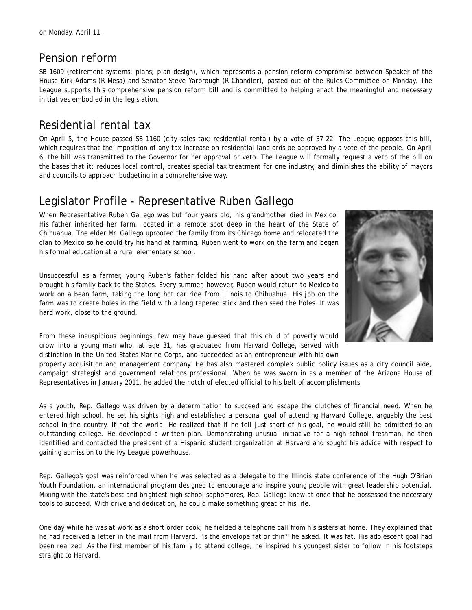### Pension reform

SB 1609 (retirement systems; plans; plan design), which represents a pension reform compromise between Speaker of the House Kirk Adams (R-Mesa) and Senator Steve Yarbrough (R-Chandler), passed out of the Rules Committee on Monday. The League supports this comprehensive pension reform bill and is committed to helping enact the meaningful and necessary initiatives embodied in the legislation.

## Residential rental tax

On April 5, the House passed SB 1160 (city sales tax; residential rental) by a vote of 37-22. The League opposes this bill, which requires that the imposition of any tax increase on residential landlords be approved by a vote of the people. On April 6, the bill was transmitted to the Governor for her approval or veto. The League will formally request a veto of the bill on the bases that it: reduces local control, creates special tax treatment for one industry, and diminishes the ability of mayors and councils to approach budgeting in a comprehensive way.

### Legislator Profile - Representative Ruben Gallego

When Representative Ruben Gallego was but four years old, his grandmother died in Mexico. His father inherited her farm, located in a remote spot deep in the heart of the State of Chihuahua. The elder Mr. Gallego uprooted the family from its Chicago home and relocated the clan to Mexico so he could try his hand at farming. Ruben went to work on the farm and began his formal education at a rural elementary school.

Unsuccessful as a farmer, young Ruben's father folded his hand after about two years and brought his family back to the States. Every summer, however, Ruben would return to Mexico to work on a bean farm, taking the long hot car ride from Illinois to Chihuahua. His job on the farm was to create holes in the field with a long tapered stick and then seed the holes. It was hard work, close to the ground.



From these inauspicious beginnings, few may have guessed that this child of poverty would grow into a young man who, at age 31, has graduated from Harvard College, served with distinction in the United States Marine Corps, and succeeded as an entrepreneur with his own

property acquisition and management company. He has also mastered complex public policy issues as a city council aide, campaign strategist and government relations professional. When he was sworn in as a member of the Arizona House of Representatives in January 2011, he added the notch of elected official to his belt of accomplishments.

As a youth, Rep. Gallego was driven by a determination to succeed and escape the clutches of financial need. When he entered high school, he set his sights high and established a personal goal of attending Harvard College, arguably the best school in the country, if not the world. He realized that if he fell just short of his goal, he would still be admitted to an outstanding college. He developed a written plan. Demonstrating unusual initiative for a high school freshman, he then identified and contacted the president of a Hispanic student organization at Harvard and sought his advice with respect to gaining admission to the Ivy League powerhouse.

Rep. Gallego's goal was reinforced when he was selected as a delegate to the Illinois state conference of the Hugh O'Brian Youth Foundation, an international program designed to encourage and inspire young people with great leadership potential. Mixing with the state's best and brightest high school sophomores, Rep. Gallego knew at once that he possessed the necessary tools to succeed. With drive and dedication, he could make something great of his life.

One day while he was at work as a short order cook, he fielded a telephone call from his sisters at home. They explained that he had received a letter in the mail from Harvard. "Is the envelope fat or thin?" he asked. It was fat. His adolescent goal had been realized. As the first member of his family to attend college, he inspired his youngest sister to follow in his footsteps straight to Harvard.